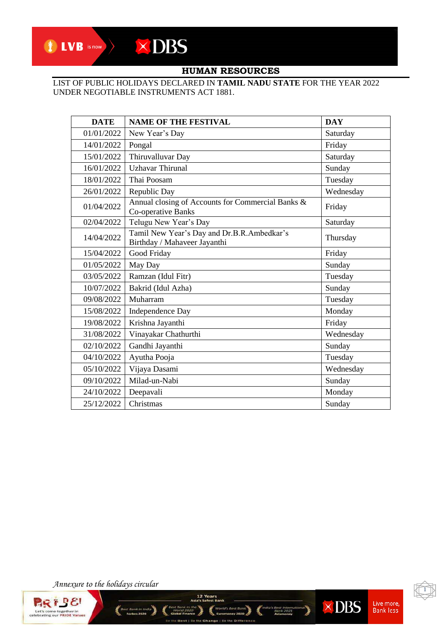LIST OF PUBLIC HOLIDAYS DECLARED IN **TAMIL NADU STATE** FOR THE YEAR 2022 UNDER NEGOTIABLE INSTRUMENTS ACT 1881.

| <b>DATE</b> | <b>NAME OF THE FESTIVAL</b>                                                | <b>DAY</b> |
|-------------|----------------------------------------------------------------------------|------------|
| 01/01/2022  | New Year's Day                                                             | Saturday   |
| 14/01/2022  | Pongal                                                                     | Friday     |
| 15/01/2022  | Thiruvalluvar Day                                                          | Saturday   |
| 16/01/2022  | <b>Uzhavar Thirunal</b>                                                    | Sunday     |
| 18/01/2022  | Thai Poosam                                                                | Tuesday    |
| 26/01/2022  | Republic Day                                                               | Wednesday  |
| 01/04/2022  | Annual closing of Accounts for Commercial Banks &<br>Co-operative Banks    | Friday     |
| 02/04/2022  | Telugu New Year's Day                                                      | Saturday   |
| 14/04/2022  | Tamil New Year's Day and Dr.B.R.Ambedkar's<br>Birthday / Mahaveer Jayanthi | Thursday   |
| 15/04/2022  | Good Friday                                                                | Friday     |
| 01/05/2022  | May Day                                                                    | Sunday     |
| 03/05/2022  | Ramzan (Idul Fitr)                                                         | Tuesday    |
| 10/07/2022  | Bakrid (Idul Azha)                                                         | Sunday     |
| 09/08/2022  | Muharram                                                                   | Tuesday    |
| 15/08/2022  | Independence Day                                                           | Monday     |
| 19/08/2022  | Krishna Jayanthi                                                           | Friday     |
| 31/08/2022  | Vinayakar Chathurthi                                                       | Wednesday  |
| 02/10/2022  | Gandhi Jayanthi                                                            | Sunday     |
| 04/10/2022  | Ayutha Pooja                                                               | Tuesday    |
| 05/10/2022  | Vijaya Dasami                                                              | Wednesday  |
| 09/10/2022  | Milad-un-Nabi                                                              | Sunday     |
| 24/10/2022  | Deepavali                                                                  | Monday     |
| 25/12/2022  | Christmas                                                                  | Sunday     |

12 Years

Id's Best Bank

*Annexure to the holidays circular* 

est Bank in Indi<br>**Forbes 2020** 

Š,





Live more,<br>Bank less

a's Best International VIDBS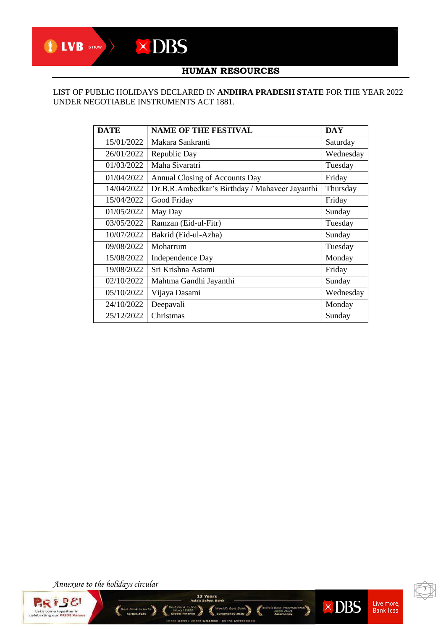#### LIST OF PUBLIC HOLIDAYS DECLARED IN **ANDHRA PRADESH STATE** FOR THE YEAR 2022 UNDER NEGOTIABLE INSTRUMENTS ACT 1881.

| <b>DATE</b> | <b>NAME OF THE FESTIVAL</b>                    | <b>DAY</b> |
|-------------|------------------------------------------------|------------|
| 15/01/2022  | Makara Sankranti                               | Saturday   |
| 26/01/2022  | Republic Day                                   | Wednesday  |
| 01/03/2022  | Maha Sivaratri                                 | Tuesday    |
| 01/04/2022  | Annual Closing of Accounts Day                 | Friday     |
| 14/04/2022  | Dr.B.R.Ambedkar's Birthday / Mahaveer Jayanthi | Thursday   |
| 15/04/2022  | Good Friday                                    | Friday     |
| 01/05/2022  | May Day                                        | Sunday     |
| 03/05/2022  | Ramzan (Eid-ul-Fitr)                           | Tuesday    |
| 10/07/2022  | Bakrid (Eid-ul-Azha)                           | Sunday     |
| 09/08/2022  | Moharrum                                       | Tuesday    |
| 15/08/2022  | Independence Day                               | Monday     |
| 19/08/2022  | Sri Krishna Astami                             | Friday     |
| 02/10/2022  | Mahtma Gandhi Jayanthi                         | Sunday     |
| 05/10/2022  | Vijaya Dasami                                  | Wednesday  |
| 24/10/2022  | Deepavali                                      | Monday     |
| 25/12/2022  | Christmas                                      | Sunday     |

12 Years

d's Best Bank

يتلافع

*Annexure to the holidays circular* 

st Bank in Ind<br>**Forbes 2020** 



Live more,<br>Bank less

 $\sum_{\substack{\text{first interval} \\ \text{and } \text{new root} \\ \text{Adim} \text{norm} }}\n \times \text{DBS}$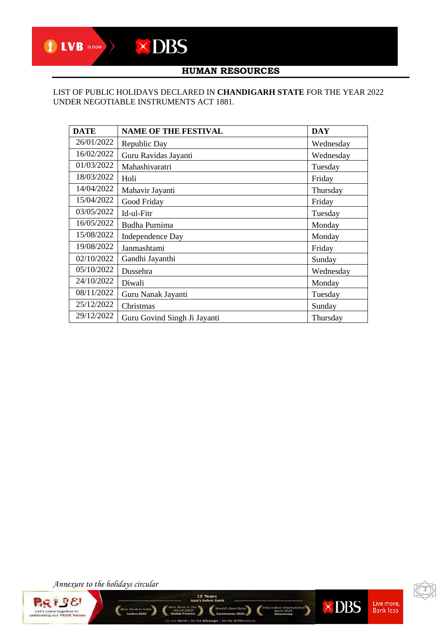#### LIST OF PUBLIC HOLIDAYS DECLARED IN **CHANDIGARH STATE** FOR THE YEAR 2022 UNDER NEGOTIABLE INSTRUMENTS ACT 1881.

| <b>DATE</b> | <b>NAME OF THE FESTIVAL</b>  | <b>DAY</b> |
|-------------|------------------------------|------------|
| 26/01/2022  | Republic Day                 | Wednesday  |
| 16/02/2022  | Guru Ravidas Jayanti         | Wednesday  |
| 01/03/2022  | Mahashivaratri               | Tuesday    |
| 18/03/2022  | Holi                         | Friday     |
| 14/04/2022  | Mahavir Jayanti              | Thursday   |
| 15/04/2022  | Good Friday                  | Friday     |
| 03/05/2022  | Id-ul-Fitr                   | Tuesday    |
| 16/05/2022  | <b>Budha Purnima</b>         | Monday     |
| 15/08/2022  | Independence Day             | Monday     |
| 19/08/2022  | Janmashtami                  | Friday     |
| 02/10/2022  | Gandhi Jayanthi              | Sunday     |
| 05/10/2022  | Dussehra                     | Wednesday  |
| 24/10/2022  | Diwali                       | Monday     |
| 08/11/2022  | Guru Nanak Jayanti           | Tuesday    |
| 25/12/2022  | Christmas                    | Sunday     |
| 29/12/2022  | Guru Govind Singh Ji Jayanti | Thursday   |

12 Years

d's Best Bank

*Annexure to the holidays circular* 

st Bank in Ind<br>**Forbes 2020** 





Live more,<br>Bank less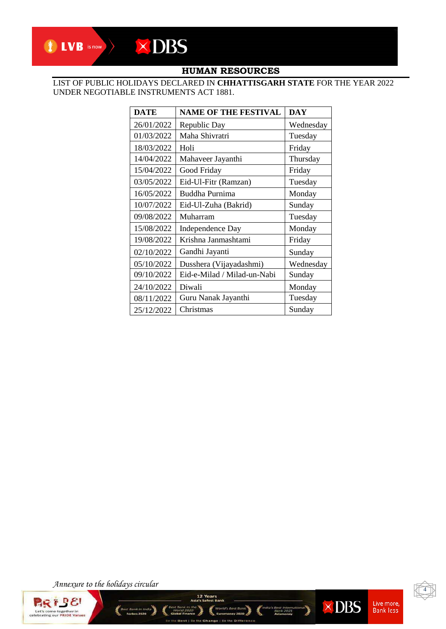#### LIST OF PUBLIC HOLIDAYS DECLARED IN **CHHATTISGARH STATE** FOR THE YEAR 2022 UNDER NEGOTIABLE INSTRUMENTS ACT 1881.

| <b>DATE</b> | <b>NAME OF THE FESTIVAL</b> | <b>DAY</b> |
|-------------|-----------------------------|------------|
| 26/01/2022  | Republic Day                | Wednesday  |
| 01/03/2022  | Maha Shivratri              | Tuesday    |
| 18/03/2022  | Holi                        | Friday     |
| 14/04/2022  | Mahaveer Jayanthi           | Thursday   |
| 15/04/2022  | Good Friday                 | Friday     |
| 03/05/2022  | Eid-Ul-Fitr (Ramzan)        | Tuesday    |
| 16/05/2022  | Buddha Purnima              | Monday     |
| 10/07/2022  | Eid-Ul-Zuha (Bakrid)        | Sunday     |
| 09/08/2022  | Muharram                    | Tuesday    |
| 15/08/2022  | <b>Independence Day</b>     | Monday     |
| 19/08/2022  | Krishna Janmashtami         | Friday     |
| 02/10/2022  | Gandhi Jayanti              | Sunday     |
| 05/10/2022  | Dusshera (Vijayadashmi)     | Wednesday  |
| 09/10/2022  | Eid-e-Milad / Milad-un-Nabi | Sunday     |
| 24/10/2022  | Diwali                      | Monday     |
| 08/11/2022  | Guru Nanak Jayanthi         | Tuesday    |
| 25/12/2022  | Christmas                   | Sunday     |

12 Years

Id's Best Bank

*Annexure to the holidays circular* 

Š,

est Bank in Ind<br>**Forbes 2020** 





Live more,<br>Bank less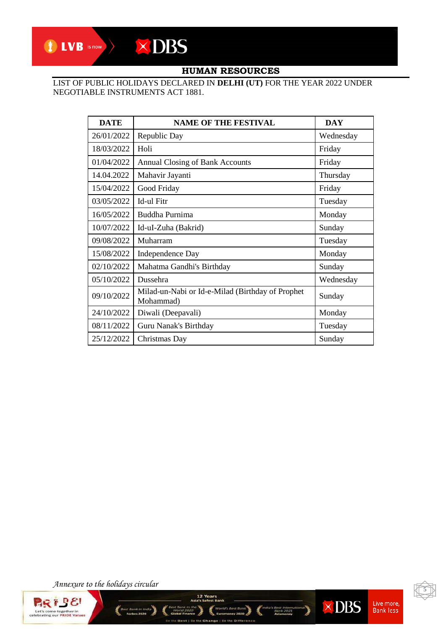# I LVB is now  $\times$  DBS

## **HUMAN RESOURCES**

#### LIST OF PUBLIC HOLIDAYS DECLARED IN **DELHI (UT)** FOR THE YEAR 2022 UNDER NEGOTIABLE INSTRUMENTS ACT 1881.

| <b>DATE</b> | <b>NAME OF THE FESTIVAL</b>                                    | <b>DAY</b> |
|-------------|----------------------------------------------------------------|------------|
| 26/01/2022  | Republic Day                                                   | Wednesday  |
| 18/03/2022  | Holi                                                           | Friday     |
| 01/04/2022  | <b>Annual Closing of Bank Accounts</b>                         | Friday     |
| 14.04.2022  | Mahavir Jayanti                                                | Thursday   |
| 15/04/2022  | Good Friday                                                    | Friday     |
| 03/05/2022  | <b>Id-ul Fitr</b>                                              | Tuesday    |
| 16/05/2022  | Buddha Purnima                                                 | Monday     |
| 10/07/2022  | Id-uI-Zuha (Bakrid)                                            | Sunday     |
| 09/08/2022  | Muharram                                                       | Tuesday    |
| 15/08/2022  | <b>Independence Day</b>                                        | Monday     |
| 02/10/2022  | Mahatma Gandhi's Birthday                                      | Sunday     |
| 05/10/2022  | Dussehra                                                       | Wednesday  |
| 09/10/2022  | Milad-un-Nabi or Id-e-Milad (Birthday of Prophet)<br>Mohammad) | Sunday     |
| 24/10/2022  | Diwali (Deepavali)                                             | Monday     |
| 08/11/2022  | Guru Nanak's Birthday                                          | Tuesday    |
| 25/12/2022  | Christmas Day                                                  | Sunday     |

12 Years

Id's Best Bank

*Annexure to the holidays circular* 

Š,

est Bank in Indi<br>**Forbes 2020** 





Live more,<br>Bank less

a's Best International VIDBS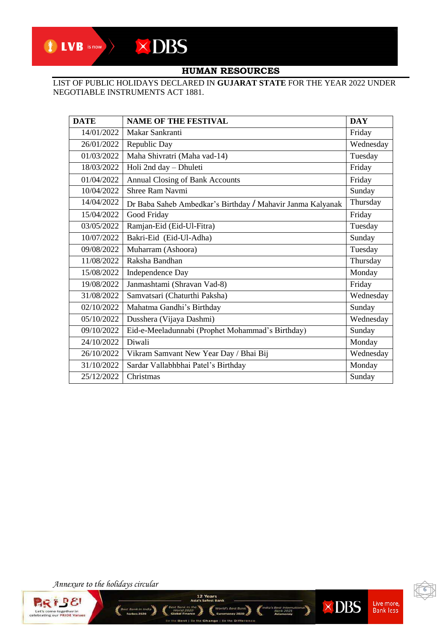## I LVB is now  $\times$  DBS

## **HUMAN RESOURCES**

LIST OF PUBLIC HOLIDAYS DECLARED IN **GUJARAT STATE** FOR THE YEAR 2022 UNDER NEGOTIABLE INSTRUMENTS ACT 1881.

| <b>DATE</b> | <b>NAME OF THE FESTIVAL</b>                                | <b>DAY</b> |
|-------------|------------------------------------------------------------|------------|
| 14/01/2022  | Makar Sankranti                                            | Friday     |
| 26/01/2022  | Republic Day                                               | Wednesday  |
| 01/03/2022  | Maha Shivratri (Maha vad-14)                               | Tuesday    |
| 18/03/2022  | Holi 2nd day - Dhuleti                                     | Friday     |
| 01/04/2022  | <b>Annual Closing of Bank Accounts</b>                     | Friday     |
| 10/04/2022  | <b>Shree Ram Navmi</b>                                     | Sunday     |
| 14/04/2022  | Dr Baba Saheb Ambedkar's Birthday / Mahavir Janma Kalyanak | Thursday   |
| 15/04/2022  | Good Friday                                                | Friday     |
| 03/05/2022  | Ramjan-Eid (Eid-Ul-Fitra)                                  | Tuesday    |
| 10/07/2022  | Bakri-Eid (Eid-Ul-Adha)                                    | Sunday     |
| 09/08/2022  | Muharram (Ashoora)                                         | Tuesday    |
| 11/08/2022  | Raksha Bandhan                                             | Thursday   |
| 15/08/2022  | <b>Independence Day</b>                                    | Monday     |
| 19/08/2022  | Janmashtami (Shravan Vad-8)                                | Friday     |
| 31/08/2022  | Samvatsari (Chaturthi Paksha)                              | Wednesday  |
| 02/10/2022  | Mahatma Gandhi's Birthday                                  | Sunday     |
| 05/10/2022  | Dusshera (Vijaya Dashmi)                                   | Wednesday  |
| 09/10/2022  | Eid-e-Meeladunnabi (Prophet Mohammad's Birthday)           | Sunday     |
| 24/10/2022  | Diwali                                                     | Monday     |
| 26/10/2022  | Vikram Samvant New Year Day / Bhai Bij                     | Wednesday  |
| 31/10/2022  | Sardar Vallabhbhai Patel's Birthday                        | Monday     |
| 25/12/2022  | Christmas                                                  | Sunday     |

12 Years

Id's Best Bank

*Annexure to the holidays circular* 

Š,

est Bank in Ind<br>**Forbes 2020** 





Live more,<br>Bank less

**State International Services**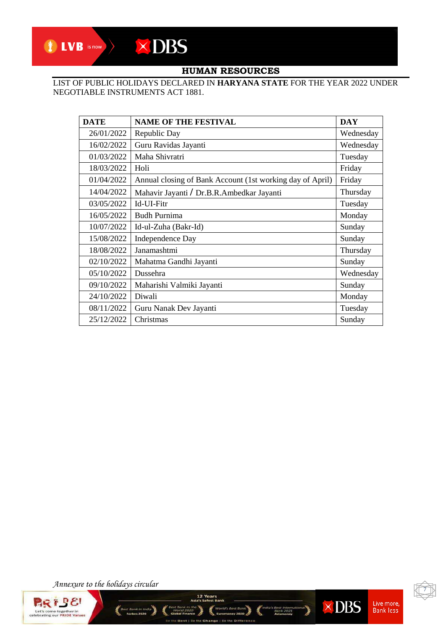## I LVB is now  $\times$  DBS

## **HUMAN RESOURCES**

LIST OF PUBLIC HOLIDAYS DECLARED IN **HARYANA STATE** FOR THE YEAR 2022 UNDER NEGOTIABLE INSTRUMENTS ACT 1881.

| <b>DATE</b> | <b>NAME OF THE FESTIVAL</b>                               | <b>DAY</b> |
|-------------|-----------------------------------------------------------|------------|
| 26/01/2022  | Republic Day                                              | Wednesday  |
| 16/02/2022  | Guru Ravidas Jayanti                                      | Wednesday  |
| 01/03/2022  | Maha Shivratri                                            | Tuesday    |
| 18/03/2022  | Holi                                                      | Friday     |
| 01/04/2022  | Annual closing of Bank Account (1st working day of April) | Friday     |
| 14/04/2022  | Mahavir Jayanti / Dr.B.R.Ambedkar Jayanti                 | Thursday   |
| 03/05/2022  | Id-UI-Fitr                                                | Tuesday    |
| 16/05/2022  | <b>Budh Purnima</b>                                       | Monday     |
| 10/07/2022  | Id-ul-Zuha (Bakr-Id)                                      | Sunday     |
| 15/08/2022  | Independence Day                                          | Sunday     |
| 18/08/2022  | Janamashtmi                                               | Thursday   |
| 02/10/2022  | Mahatma Gandhi Jayanti                                    | Sunday     |
| 05/10/2022  | <b>Dussehra</b>                                           | Wednesday  |
| 09/10/2022  | Maharishi Valmiki Jayanti                                 | Sunday     |
| 24/10/2022  | Diwali                                                    | Monday     |
| 08/11/2022  | Guru Nanak Dev Jayanti                                    | Tuesday    |
| 25/12/2022  | Christmas                                                 | Sunday     |

12 Years

Id's Best Bank

*Annexure to the holidays circular* 

Š,

est Bank in Ind<br>**Forbes 2020** 





Live more,<br>Bank less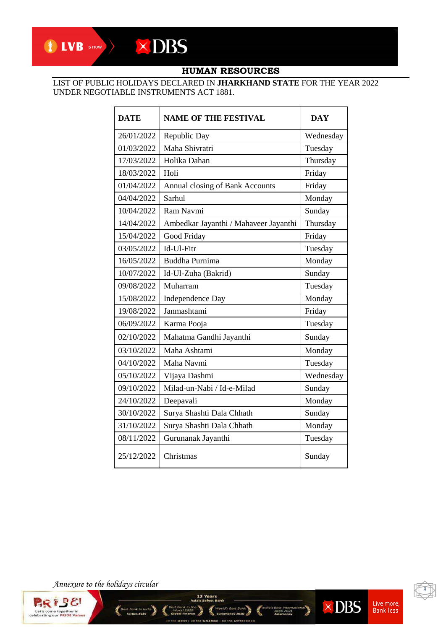#### LIST OF PUBLIC HOLIDAYS DECLARED IN **JHARKHAND STATE** FOR THE YEAR 2022 UNDER NEGOTIABLE INSTRUMENTS ACT 1881.

| <b>DATE</b> | <b>NAME OF THE FESTIVAL</b>           | <b>DAY</b> |
|-------------|---------------------------------------|------------|
| 26/01/2022  | Republic Day                          | Wednesday  |
| 01/03/2022  | Maha Shivratri                        | Tuesday    |
| 17/03/2022  | Holika Dahan                          | Thursday   |
| 18/03/2022  | Holi                                  | Friday     |
| 01/04/2022  | Annual closing of Bank Accounts       | Friday     |
| 04/04/2022  | Sarhul                                | Monday     |
| 10/04/2022  | Ram Navmi                             | Sunday     |
| 14/04/2022  | Ambedkar Jayanthi / Mahaveer Jayanthi | Thursday   |
| 15/04/2022  | Good Friday                           | Friday     |
| 03/05/2022  | Id-Ul-Fitr                            | Tuesday    |
| 16/05/2022  | Buddha Purnima                        | Monday     |
| 10/07/2022  | Id-Ul-Zuha (Bakrid)                   | Sunday     |
| 09/08/2022  | Muharram                              | Tuesday    |
| 15/08/2022  | Independence Day                      | Monday     |
| 19/08/2022  | Janmashtami                           | Friday     |
| 06/09/2022  | Karma Pooja                           | Tuesday    |
| 02/10/2022  | Mahatma Gandhi Jayanthi               | Sunday     |
| 03/10/2022  | Maha Ashtami                          | Monday     |
| 04/10/2022  | Maha Navmi                            | Tuesday    |
| 05/10/2022  | Vijaya Dashmi                         | Wednesday  |
| 09/10/2022  | Milad-un-Nabi / Id-e-Milad            | Sunday     |
| 24/10/2022  | Deepavali                             | Monday     |
| 30/10/2022  | Surya Shashti Dala Chhath             | Sunday     |
| 31/10/2022  | Surya Shashti Dala Chhath             | Monday     |
| 08/11/2022  | Gurunanak Jayanthi                    | Tuesday    |
| 25/12/2022  | Christmas                             | Sunday     |

12 Years

Id's Best Bank

*Annexure to the holidays circular* 

Š,

est Bank in Ind<br>**Forbes 2020** 



Live more,<br>Bank less

**State International Services**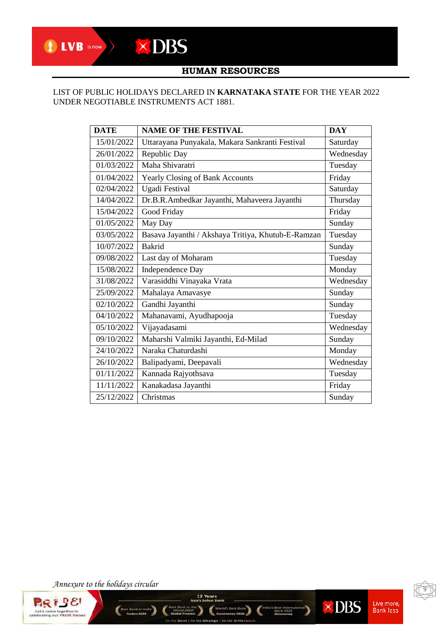#### LIST OF PUBLIC HOLIDAYS DECLARED IN **KARNATAKA STATE** FOR THE YEAR 2022 UNDER NEGOTIABLE INSTRUMENTS ACT 1881.

| <b>DATE</b> | <b>NAME OF THE FESTIVAL</b>                        | <b>DAY</b> |
|-------------|----------------------------------------------------|------------|
| 15/01/2022  | Uttarayana Punyakala, Makara Sankranti Festival    | Saturday   |
| 26/01/2022  | Republic Day                                       | Wednesday  |
| 01/03/2022  | Maha Shivaratri                                    | Tuesday    |
| 01/04/2022  | <b>Yearly Closing of Bank Accounts</b>             | Friday     |
| 02/04/2022  | Ugadi Festival                                     | Saturday   |
| 14/04/2022  | Dr.B.R.Ambedkar Jayanthi, Mahaveera Jayanthi       | Thursday   |
| 15/04/2022  | Good Friday                                        | Friday     |
| 01/05/2022  | May Day                                            | Sunday     |
| 03/05/2022  | Basava Jayanthi / Akshaya Tritiya, Khutub-E-Ramzan | Tuesday    |
| 10/07/2022  | <b>Bakrid</b>                                      | Sunday     |
| 09/08/2022  | Last day of Moharam                                | Tuesday    |
| 15/08/2022  | Independence Day                                   | Monday     |
| 31/08/2022  | Varasiddhi Vinayaka Vrata                          | Wednesday  |
| 25/09/2022  | Mahalaya Amavasye                                  | Sunday     |
| 02/10/2022  | Gandhi Jayanthi                                    | Sunday     |
| 04/10/2022  | Mahanavami, Ayudhapooja                            | Tuesday    |
| 05/10/2022  | Vijayadasami                                       | Wednesday  |
| 09/10/2022  | Maharshi Valmiki Jayanthi, Ed-Milad                | Sunday     |
| 24/10/2022  | Naraka Chaturdashi                                 | Monday     |
| 26/10/2022  | Balipadyami, Deepavali                             | Wednesday  |
| 01/11/2022  | Kannada Rajyothsava                                | Tuesday    |
| 11/11/2022  | Kanakadasa Jayanthi                                | Friday     |
| 25/12/2022  | Christmas                                          | Sunday     |

12 Years

d's Best Bank

*Annexure to the holidays circular* 

st Bank in Ind<br>**Forbes 2020** 





Live more,<br>Bank less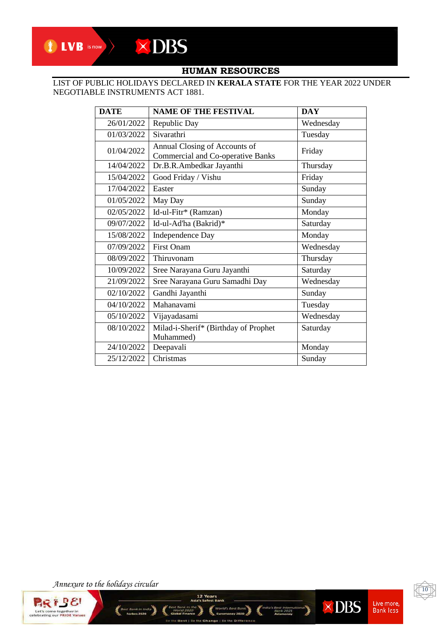#### LIST OF PUBLIC HOLIDAYS DECLARED IN **KERALA STATE** FOR THE YEAR 2022 UNDER NEGOTIABLE INSTRUMENTS ACT 1881.

| <b>DATE</b> | <b>NAME OF THE FESTIVAL</b>                                               | <b>DAY</b> |
|-------------|---------------------------------------------------------------------------|------------|
| 26/01/2022  | Republic Day                                                              | Wednesday  |
| 01/03/2022  | Sivarathri                                                                | Tuesday    |
| 01/04/2022  | Annual Closing of Accounts of<br><b>Commercial and Co-operative Banks</b> | Friday     |
| 14/04/2022  | Dr.B.R.Ambedkar Jayanthi                                                  | Thursday   |
| 15/04/2022  | Good Friday / Vishu                                                       | Friday     |
| 17/04/2022  | Easter                                                                    | Sunday     |
| 01/05/2022  | May Day                                                                   | Sunday     |
| 02/05/2022  | Id-ul-Fitr* (Ramzan)                                                      | Monday     |
| 09/07/2022  | Id-ul-Ad'ha (Bakrid)*                                                     | Saturday   |
| 15/08/2022  | Independence Day                                                          | Monday     |
| 07/09/2022  | <b>First Onam</b>                                                         | Wednesday  |
| 08/09/2022  | Thiruvonam                                                                | Thursday   |
| 10/09/2022  | Sree Narayana Guru Jayanthi                                               | Saturday   |
| 21/09/2022  | Sree Narayana Guru Samadhi Day                                            | Wednesday  |
| 02/10/2022  | Gandhi Jayanthi                                                           | Sunday     |
| 04/10/2022  | Mahanavami                                                                | Tuesday    |
| 05/10/2022  | Vijayadasami                                                              | Wednesday  |
| 08/10/2022  | Milad-i-Sherif* (Birthday of Prophet                                      | Saturday   |
|             | Muhammed)                                                                 |            |
| 24/10/2022  | Deepavali                                                                 | Monday     |
| 25/12/2022  | Christmas                                                                 | Sunday     |

12 Years

Id's Best Bank

*Annexure to the holidays circular* 

est Bank in Inc<br>**Forbes 2020** 





Live more,<br>Bank less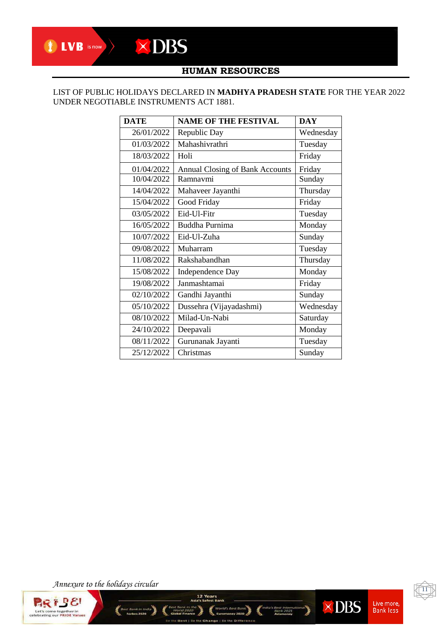#### LIST OF PUBLIC HOLIDAYS DECLARED IN **MADHYA PRADESH STATE** FOR THE YEAR 2022 UNDER NEGOTIABLE INSTRUMENTS ACT 1881.

| <b>DATE</b> | <b>NAME OF THE FESTIVAL</b>            | <b>DAY</b> |
|-------------|----------------------------------------|------------|
| 26/01/2022  | Republic Day                           | Wednesday  |
| 01/03/2022  | Mahashivrathri                         | Tuesday    |
| 18/03/2022  | Holi                                   | Friday     |
| 01/04/2022  | <b>Annual Closing of Bank Accounts</b> | Friday     |
| 10/04/2022  | Ramnavmi                               | Sunday     |
| 14/04/2022  | Mahaveer Jayanthi                      | Thursday   |
| 15/04/2022  | Good Friday                            | Friday     |
| 03/05/2022  | Eid-Ul-Fitr                            | Tuesday    |
| 16/05/2022  | Buddha Purnima                         | Monday     |
| 10/07/2022  | Eid-Ul-Zuha                            | Sunday     |
| 09/08/2022  | Muharram                               | Tuesday    |
| 11/08/2022  | Rakshabandhan                          | Thursday   |
| 15/08/2022  | <b>Independence Day</b>                | Monday     |
| 19/08/2022  | Janmashtamai                           | Friday     |
| 02/10/2022  | Gandhi Jayanthi                        | Sunday     |
| 05/10/2022  | Dussehra (Vijayadashmi)                | Wednesday  |
| 08/10/2022  | Milad-Un-Nabi                          | Saturday   |
| 24/10/2022  | Deepavali                              | Monday     |
| 08/11/2022  | Gurunanak Jayanti                      | Tuesday    |
| 25/12/2022  | Christmas                              | Sunday     |

12 Years

d's Best Bank

يتلافع

*Annexure to the holidays circular* 

st Bank in Ind<br>**Forbes 2020** 





Live more,<br>Bank less

**Best International WIDBS**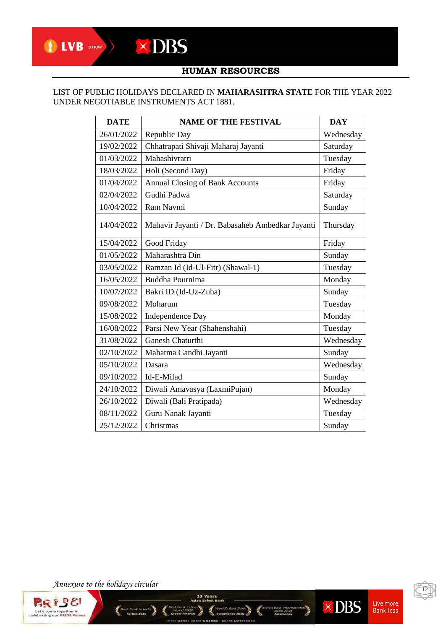#### LIST OF PUBLIC HOLIDAYS DECLARED IN **MAHARASHTRA STATE** FOR THE YEAR 2022 UNDER NEGOTIABLE INSTRUMENTS ACT 1881.

| <b>DATE</b> | <b>NAME OF THE FESTIVAL</b>                      | <b>DAY</b> |
|-------------|--------------------------------------------------|------------|
| 26/01/2022  | Republic Day                                     | Wednesday  |
| 19/02/2022  | Chhatrapati Shivaji Maharaj Jayanti              | Saturday   |
| 01/03/2022  | Mahashivratri                                    | Tuesday    |
| 18/03/2022  | Holi (Second Day)                                | Friday     |
| 01/04/2022  | <b>Annual Closing of Bank Accounts</b>           | Friday     |
| 02/04/2022  | Gudhi Padwa                                      | Saturday   |
| 10/04/2022  | Ram Navmi                                        | Sunday     |
| 14/04/2022  | Mahavir Jayanti / Dr. Babasaheb Ambedkar Jayanti | Thursday   |
| 15/04/2022  | Good Friday                                      | Friday     |
| 01/05/2022  | Maharashtra Din                                  | Sunday     |
| 03/05/2022  | Ramzan Id (Id-Ul-Fitr) (Shawal-1)                | Tuesday    |
| 16/05/2022  | <b>Buddha Pournima</b>                           | Monday     |
| 10/07/2022  | Bakri ID (Id-Uz-Zuha)                            | Sunday     |
| 09/08/2022  | Moharum                                          | Tuesday    |
| 15/08/2022  | <b>Independence Day</b>                          | Monday     |
| 16/08/2022  | Parsi New Year (Shahenshahi)                     | Tuesday    |
| 31/08/2022  | <b>Ganesh Chaturthi</b>                          | Wednesday  |
| 02/10/2022  | Mahatma Gandhi Jayanti                           | Sunday     |
| 05/10/2022  | Dasara                                           | Wednesday  |
| 09/10/2022  | Id-E-Milad                                       | Sunday     |
| 24/10/2022  | Diwali Amavasya (LaxmiPujan)                     | Monday     |
| 26/10/2022  | Diwali (Bali Pratipada)                          | Wednesday  |
| 08/11/2022  | Guru Nanak Jayanti                               | Tuesday    |
| 25/12/2022  | Christmas                                        | Sunday     |

12 Years

d's Best Bank

يتلافع

*Annexure to the holidays circular* 

st Bank in Ind<br>**Forbes 2020** 



Live more,<br>Bank less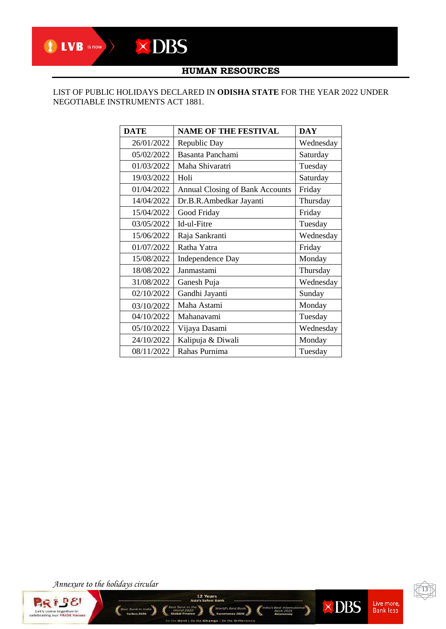#### LIST OF PUBLIC HOLIDAYS DECLARED IN **ODISHA STATE** FOR THE YEAR 2022 UNDER NEGOTIABLE INSTRUMENTS ACT 1881.

| <b>DATE</b> | <b>NAME OF THE FESTIVAL</b>            | <b>DAY</b> |
|-------------|----------------------------------------|------------|
| 26/01/2022  | Republic Day                           | Wednesday  |
| 05/02/2022  | Basanta Panchami                       | Saturday   |
| 01/03/2022  | Maha Shivaratri                        | Tuesday    |
| 19/03/2022  | Holi                                   | Saturday   |
| 01/04/2022  | <b>Annual Closing of Bank Accounts</b> | Friday     |
| 14/04/2022  | Dr.B.R.Ambedkar Jayanti                | Thursday   |
| 15/04/2022  | Good Friday                            | Friday     |
| 03/05/2022  | Id-ul-Fitre                            | Tuesday    |
| 15/06/2022  | Raja Sankranti                         | Wednesday  |
| 01/07/2022  | Ratha Yatra                            | Friday     |
| 15/08/2022  | <b>Independence Day</b>                | Monday     |
| 18/08/2022  | Janmastami                             | Thursday   |
| 31/08/2022  | Ganesh Puja                            | Wednesday  |
| 02/10/2022  | Gandhi Jayanti                         | Sunday     |
| 03/10/2022  | Maha Astami                            | Monday     |
| 04/10/2022  | Mahanavami                             | Tuesday    |
| 05/10/2022  | Vijaya Dasami                          | Wednesday  |
| 24/10/2022  | Kalipuja & Diwali                      | Monday     |
| 08/11/2022  | Rahas Purnima                          | Tuesday    |

12 Years

d's Best Bank

يتلافع

*Annexure to the holidays circular* 

st Bank in Ind<br>**Forbes 2020** 





Live more,<br>Bank less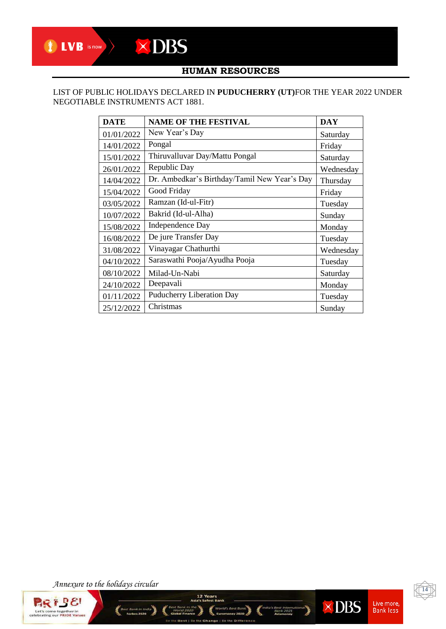#### LIST OF PUBLIC HOLIDAYS DECLARED IN **PUDUCHERRY (UT)**FOR THE YEAR 2022 UNDER NEGOTIABLE INSTRUMENTS ACT 1881.

| <b>DATE</b> | <b>NAME OF THE FESTIVAL</b>                  | <b>DAY</b> |
|-------------|----------------------------------------------|------------|
| 01/01/2022  | New Year's Day                               | Saturday   |
| 14/01/2022  | Pongal                                       | Friday     |
| 15/01/2022  | Thiruvalluvar Day/Mattu Pongal               | Saturday   |
| 26/01/2022  | Republic Day                                 | Wednesday  |
| 14/04/2022  | Dr. Ambedkar's Birthday/Tamil New Year's Day | Thursday   |
| 15/04/2022  | Good Friday                                  | Friday     |
| 03/05/2022  | Ramzan (Id-ul-Fitr)                          | Tuesday    |
| 10/07/2022  | Bakrid (Id-ul-Alha)                          | Sunday     |
| 15/08/2022  | Independence Day                             | Monday     |
| 16/08/2022  | De jure Transfer Day                         | Tuesday    |
| 31/08/2022  | Vinayagar Chathurthi                         | Wednesday  |
| 04/10/2022  | Saraswathi Pooja/Ayudha Pooja                | Tuesday    |
| 08/10/2022  | Milad-Un-Nabi                                | Saturday   |
| 24/10/2022  | Deepavali                                    | Monday     |
| 01/11/2022  | <b>Puducherry Liberation Day</b>             | Tuesday    |
| 25/12/2022  | Christmas                                    | Sunday     |

12 Years

d's Best Bank

ينافع

*Annexure to the holidays circular* 

st Bank in Ind<br>**Forbes 2020** 





Live more,<br>Bank less

 $\times$  DBS

Best International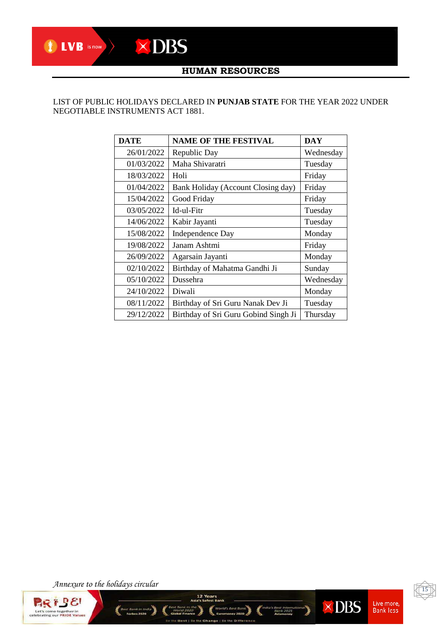#### LIST OF PUBLIC HOLIDAYS DECLARED IN **PUNJAB STATE** FOR THE YEAR 2022 UNDER NEGOTIABLE INSTRUMENTS ACT 1881.

| <b>DATE</b> | <b>NAME OF THE FESTIVAL</b>          | DAY       |
|-------------|--------------------------------------|-----------|
| 26/01/2022  | Republic Day                         | Wednesday |
| 01/03/2022  | Maha Shivaratri                      | Tuesday   |
| 18/03/2022  | Holi                                 | Friday    |
| 01/04/2022  | Bank Holiday (Account Closing day)   | Friday    |
| 15/04/2022  | Good Friday                          | Friday    |
| 03/05/2022  | Id-ul-Fitr                           | Tuesday   |
| 14/06/2022  | Kabir Jayanti                        | Tuesday   |
| 15/08/2022  | <b>Independence Day</b>              | Monday    |
| 19/08/2022  | Janam Ashtmi                         | Friday    |
| 26/09/2022  | Agarsain Jayanti                     | Monday    |
| 02/10/2022  | Birthday of Mahatma Gandhi Ji        | Sunday    |
| 05/10/2022  | Dussehra                             | Wednesday |
| 24/10/2022  | Diwali                               | Monday    |
| 08/11/2022  | Birthday of Sri Guru Nanak Dev Ji    | Tuesday   |
| 29/12/2022  | Birthday of Sri Guru Gobind Singh Ji | Thursday  |

12 Years

d's Best Bank

*Annexure to the holidays circular* 

st Bank in Ind<br>**Forbes 2020** 





Live more,<br>Bank less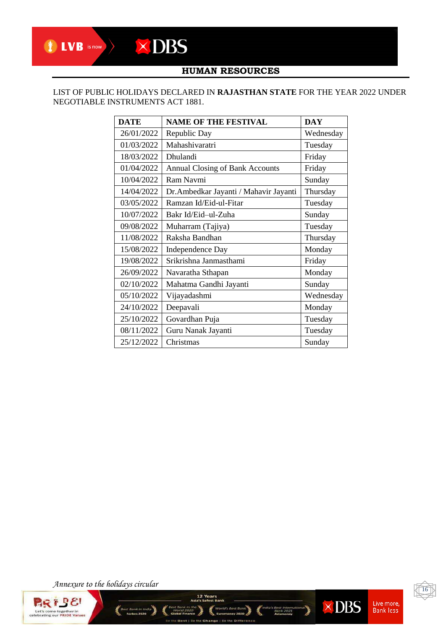#### LIST OF PUBLIC HOLIDAYS DECLARED IN **RAJASTHAN STATE** FOR THE YEAR 2022 UNDER NEGOTIABLE INSTRUMENTS ACT 1881.

| <b>DATE</b> | <b>NAME OF THE FESTIVAL</b>            | <b>DAY</b> |
|-------------|----------------------------------------|------------|
| 26/01/2022  | Republic Day                           | Wednesday  |
| 01/03/2022  | Mahashivaratri                         | Tuesday    |
| 18/03/2022  | Dhulandi                               | Friday     |
| 01/04/2022  | <b>Annual Closing of Bank Accounts</b> | Friday     |
| 10/04/2022  | Ram Navmi                              | Sunday     |
| 14/04/2022  | Dr.Ambedkar Jayanti / Mahavir Jayanti  | Thursday   |
| 03/05/2022  | Ramzan Id/Eid-ul-Fitar                 | Tuesday    |
| 10/07/2022  | Bakr Id/Eid-ul-Zuha                    | Sunday     |
| 09/08/2022  | Muharram (Tajiya)                      | Tuesday    |
| 11/08/2022  | Raksha Bandhan                         | Thursday   |
| 15/08/2022  | <b>Independence Day</b>                | Monday     |
| 19/08/2022  | Srikrishna Janmasthami                 | Friday     |
| 26/09/2022  | Navaratha Sthapan                      | Monday     |
| 02/10/2022  | Mahatma Gandhi Jayanti                 | Sunday     |
| 05/10/2022  | Vijayadashmi                           | Wednesday  |
| 24/10/2022  | Deepavali                              | Monday     |
| 25/10/2022  | Govardhan Puja                         | Tuesday    |
| 08/11/2022  | Guru Nanak Jayanti                     | Tuesday    |
| 25/12/2022  | Christmas                              | Sunday     |

12 Years

d's Best Bank

**USSE** 

*Annexure to the holidays circular* 

st Bank in Ind<br>**Forbes 2020** 





Live more,<br>Bank less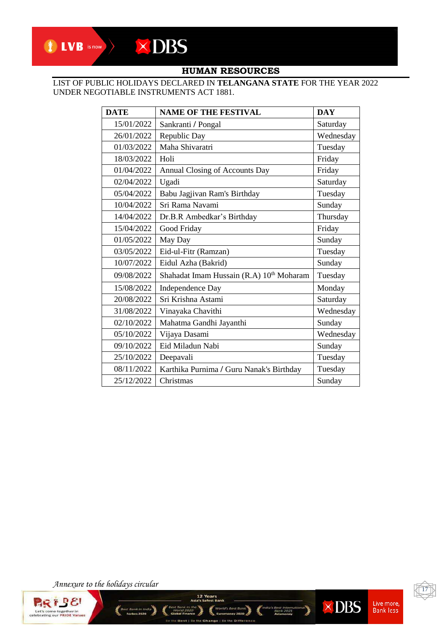#### LIST OF PUBLIC HOLIDAYS DECLARED IN **TELANGANA STATE** FOR THE YEAR 2022 UNDER NEGOTIABLE INSTRUMENTS ACT 1881.

| <b>DATE</b> | <b>NAME OF THE FESTIVAL</b>              | <b>DAY</b> |
|-------------|------------------------------------------|------------|
| 15/01/2022  | Sankranti / Pongal                       | Saturday   |
| 26/01/2022  | Republic Day                             | Wednesday  |
| 01/03/2022  | Maha Shivaratri                          | Tuesday    |
| 18/03/2022  | Holi                                     | Friday     |
| 01/04/2022  | Annual Closing of Accounts Day           | Friday     |
| 02/04/2022  | Ugadi                                    | Saturday   |
| 05/04/2022  | Babu Jagjivan Ram's Birthday             | Tuesday    |
| 10/04/2022  | Sri Rama Navami                          | Sunday     |
| 14/04/2022  | Dr.B.R Ambedkar's Birthday               | Thursday   |
| 15/04/2022  | Good Friday                              | Friday     |
| 01/05/2022  | May Day                                  | Sunday     |
| 03/05/2022  | Eid-ul-Fitr (Ramzan)                     | Tuesday    |
| 10/07/2022  | Eidul Azha (Bakrid)                      | Sunday     |
| 09/08/2022  | Shahadat Imam Hussain (R.A) 10th Moharam | Tuesday    |
| 15/08/2022  | <b>Independence Day</b>                  | Monday     |
| 20/08/2022  | Sri Krishna Astami                       | Saturday   |
| 31/08/2022  | Vinayaka Chavithi                        | Wednesday  |
| 02/10/2022  | Mahatma Gandhi Jayanthi                  | Sunday     |
| 05/10/2022  | Vijaya Dasami                            | Wednesday  |
| 09/10/2022  | Eid Miladun Nabi                         | Sunday     |
| 25/10/2022  | Deepavali                                | Tuesday    |
| 08/11/2022  | Karthika Purnima / Guru Nanak's Birthday | Tuesday    |
| 25/12/2022  | Christmas                                | Sunday     |

12 Years

Id's Best Bank

*Annexure to the holidays circular* 

Š,

est Bank in Ind<br>**Forbes 2020** 





Live more,<br>Bank less

**State International Services**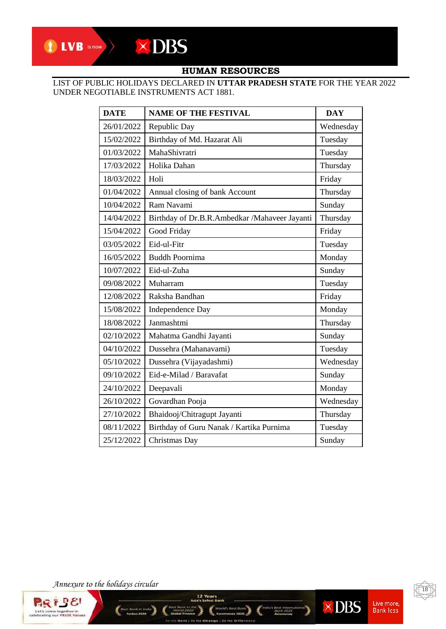#### LIST OF PUBLIC HOLIDAYS DECLARED IN **UTTAR PRADESH STATE** FOR THE YEAR 2022 UNDER NEGOTIABLE INSTRUMENTS ACT 1881.

| <b>DATE</b> | <b>NAME OF THE FESTIVAL</b>                   | <b>DAY</b> |
|-------------|-----------------------------------------------|------------|
| 26/01/2022  | Republic Day                                  | Wednesday  |
| 15/02/2022  | Birthday of Md. Hazarat Ali                   | Tuesday    |
| 01/03/2022  | MahaShivratri                                 | Tuesday    |
| 17/03/2022  | Holika Dahan                                  | Thursday   |
| 18/03/2022  | Holi                                          | Friday     |
| 01/04/2022  | Annual closing of bank Account                | Thursday   |
| 10/04/2022  | Ram Navami                                    | Sunday     |
| 14/04/2022  | Birthday of Dr.B.R.Ambedkar /Mahaveer Jayanti | Thursday   |
| 15/04/2022  | Good Friday                                   | Friday     |
| 03/05/2022  | Eid-ul-Fitr                                   | Tuesday    |
| 16/05/2022  | <b>Buddh Poornima</b>                         | Monday     |
| 10/07/2022  | Eid-ul-Zuha                                   | Sunday     |
| 09/08/2022  | Muharram                                      | Tuesday    |
| 12/08/2022  | Raksha Bandhan                                | Friday     |
| 15/08/2022  | <b>Independence Day</b>                       | Monday     |
| 18/08/2022  | Janmashtmi                                    | Thursday   |
| 02/10/2022  | Mahatma Gandhi Jayanti                        | Sunday     |
| 04/10/2022  | Dussehra (Mahanavami)                         | Tuesday    |
| 05/10/2022  | Dussehra (Vijayadashmi)                       | Wednesday  |
| 09/10/2022  | Eid-e-Milad / Baravafat                       | Sunday     |
| 24/10/2022  | Deepavali                                     | Monday     |
| 26/10/2022  | Govardhan Pooja                               | Wednesday  |
| 27/10/2022  | Bhaidooj/Chitragupt Jayanti                   | Thursday   |
| 08/11/2022  | Birthday of Guru Nanak / Kartika Purnima      | Tuesday    |
| 25/12/2022  | Christmas Day                                 | Sunday     |

12 Years

Id's Best Bank

**S** Best international **X** DBS

*Annexure to the holidays circular* 

Š,

est Bank in Ind<br>**Forbes 2020** 





Live more,<br>Bank less